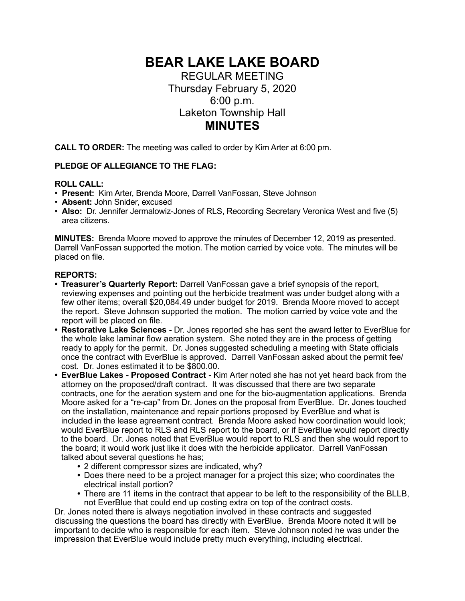# **BEAR LAKE LAKE BOARD**

REGULAR MEETING Thursday February 5, 2020 6:00 p.m. Laketon Township Hall **MINUTES** 

**CALL TO ORDER:** The meeting was called to order by Kim Arter at 6:00 pm.

# **PLEDGE OF ALLEGIANCE TO THE FLAG:**

## **ROLL CALL:**

- **Present:** Kim Arter, Brenda Moore, Darrell VanFossan, Steve Johnson
- **Absent:** John Snider, excused
- **Also:** Dr. Jennifer Jermalowiz-Jones of RLS, Recording Secretary Veronica West and five (5) area citizens.

**MINUTES:** Brenda Moore moved to approve the minutes of December 12, 2019 as presented. Darrell VanFossan supported the motion. The motion carried by voice vote. The minutes will be placed on file.

## **REPORTS:**

- **• Treasurer's Quarterly Report:** Darrell VanFossan gave a brief synopsis of the report, reviewing expenses and pointing out the herbicide treatment was under budget along with a few other items; overall \$20,084.49 under budget for 2019. Brenda Moore moved to accept the report. Steve Johnson supported the motion. The motion carried by voice vote and the report will be placed on file.
- **• Restorative Lake Sciences** Dr. Jones reported she has sent the award letter to EverBlue for the whole lake laminar flow aeration system. She noted they are in the process of getting ready to apply for the permit. Dr. Jones suggested scheduling a meeting with State officials once the contract with EverBlue is approved. Darrell VanFossan asked about the permit fee/ cost. Dr. Jones estimated it to be \$800.00.
- **• EverBlue Lakes Proposed Contract** Kim Arter noted she has not yet heard back from the attorney on the proposed/draft contract. It was discussed that there are two separate contracts, one for the aeration system and one for the bio-augmentation applications. Brenda Moore asked for a "re-cap" from Dr. Jones on the proposal from EverBlue. Dr. Jones touched on the installation, maintenance and repair portions proposed by EverBlue and what is included in the lease agreement contract. Brenda Moore asked how coordination would look; would EverBlue report to RLS and RLS report to the board, or if EverBlue would report directly to the board. Dr. Jones noted that EverBlue would report to RLS and then she would report to the board; it would work just like it does with the herbicide applicator. Darrell VanFossan talked about several questions he has;
	- **•** 2 different compressor sizes are indicated, why?
	- **•** Does there need to be a project manager for a project this size; who coordinates the electrical install portion?
	- **•** There are 11 items in the contract that appear to be left to the responsibility of the BLLB, not EverBlue that could end up costing extra on top of the contract costs.

Dr. Jones noted there is always negotiation involved in these contracts and suggested discussing the questions the board has directly with EverBlue. Brenda Moore noted it will be important to decide who is responsible for each item. Steve Johnson noted he was under the impression that EverBlue would include pretty much everything, including electrical.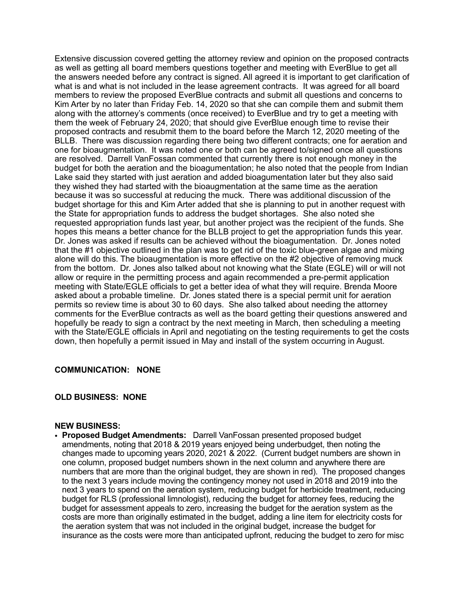Extensive discussion covered getting the attorney review and opinion on the proposed contracts as well as getting all board members questions together and meeting with EverBlue to get all the answers needed before any contract is signed. All agreed it is important to get clarification of what is and what is not included in the lease agreement contracts. It was agreed for all board members to review the proposed EverBlue contracts and submit all questions and concerns to Kim Arter by no later than Friday Feb. 14, 2020 so that she can compile them and submit them along with the attorney's comments (once received) to EverBlue and try to get a meeting with them the week of February 24, 2020; that should give EverBlue enough time to revise their proposed contracts and resubmit them to the board before the March 12, 2020 meeting of the BLLB. There was discussion regarding there being two different contracts; one for aeration and one for bioaugmentation. It was noted one or both can be agreed to/signed once all questions are resolved. Darrell VanFossan commented that currently there is not enough money in the budget for both the aeration and the bioagumentation; he also noted that the people from Indian Lake said they started with just aeration and added bioagumentation later but they also said they wished they had started with the bioaugmentation at the same time as the aeration because it was so successful at reducing the muck. There was additional discussion of the budget shortage for this and Kim Arter added that she is planning to put in another request with the State for appropriation funds to address the budget shortages. She also noted she requested appropriation funds last year, but another project was the recipient of the funds. She hopes this means a better chance for the BLLB project to get the appropriation funds this year. Dr. Jones was asked if results can be achieved without the bioagumentation. Dr. Jones noted that the #1 objective outlined in the plan was to get rid of the toxic blue-green algae and mixing alone will do this. The bioaugmentation is more effective on the #2 objective of removing muck from the bottom. Dr. Jones also talked about not knowing what the State (EGLE) will or will not allow or require in the permitting process and again recommended a pre-permit application meeting with State/EGLE officials to get a better idea of what they will require. Brenda Moore asked about a probable timeline. Dr. Jones stated there is a special permit unit for aeration permits so review time is about 30 to 60 days. She also talked about needing the attorney comments for the EverBlue contracts as well as the board getting their questions answered and hopefully be ready to sign a contract by the next meeting in March, then scheduling a meeting with the State/EGLE officials in April and negotiating on the testing requirements to get the costs down, then hopefully a permit issued in May and install of the system occurring in August.

#### **COMMUNICATION: NONE**

#### **OLD BUSINESS: NONE**

#### **NEW BUSINESS:**

• **Proposed Budget Amendments:** Darrell VanFossan presented proposed budget amendments, noting that 2018 & 2019 years enjoyed being underbudget, then noting the changes made to upcoming years 2020, 2021 & 2022. (Current budget numbers are shown in one column, proposed budget numbers shown in the next column and anywhere there are numbers that are more than the original budget, they are shown in red). The proposed changes to the next 3 years include moving the contingency money not used in 2018 and 2019 into the next 3 years to spend on the aeration system, reducing budget for herbicide treatment, reducing budget for RLS (professional limnologist), reducing the budget for attorney fees, reducing the budget for assessment appeals to zero, increasing the budget for the aeration system as the costs are more than originally estimated in the budget, adding a line item for electricity costs for the aeration system that was not included in the original budget, increase the budget for insurance as the costs were more than anticipated upfront, reducing the budget to zero for misc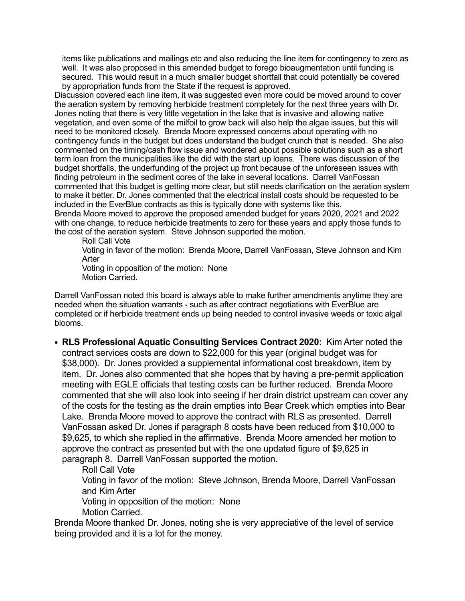items like publications and mailings etc and also reducing the line item for contingency to zero as well. It was also proposed in this amended budget to forego bioaugmentation until funding is secured. This would result in a much smaller budget shortfall that could potentially be covered by appropriation funds from the State if the request is approved.

Discussion covered each line item, it was suggested even more could be moved around to cover the aeration system by removing herbicide treatment completely for the next three years with Dr. Jones noting that there is very little vegetation in the lake that is invasive and allowing native vegetation, and even some of the milfoil to grow back will also help the algae issues, but this will need to be monitored closely. Brenda Moore expressed concerns about operating with no contingency funds in the budget but does understand the budget crunch that is needed. She also commented on the timing/cash flow issue and wondered about possible solutions such as a short term loan from the municipalities like the did with the start up loans. There was discussion of the budget shortfalls, the underfunding of the project up front because of the unforeseen issues with finding petroleum in the sediment cores of the lake in several locations. Darrell VanFossan commented that this budget is getting more clear, but still needs clarification on the aeration system to make it better. Dr. Jones commented that the electrical install costs should be requested to be included in the EverBlue contracts as this is typically done with systems like this. Brenda Moore moved to approve the proposed amended budget for years 2020, 2021 and 2022 with one change, to reduce herbicide treatments to zero for these years and apply those funds to the cost of the aeration system. Steve Johnson supported the motion.

Roll Call Vote

 Voting in favor of the motion: Brenda Moore, Darrell VanFossan, Steve Johnson and Kim Arter

 Voting in opposition of the motion: None Motion Carried.

Darrell VanFossan noted this board is always able to make further amendments anytime they are needed when the situation warrants - such as after contract negotiations with EverBlue are completed or if herbicide treatment ends up being needed to control invasive weeds or toxic algal blooms.

**• RLS Professional Aquatic Consulting Services Contract 2020:** Kim Arter noted the contract services costs are down to \$22,000 for this year (original budget was for \$38,000). Dr. Jones provided a supplemental informational cost breakdown, item by item. Dr. Jones also commented that she hopes that by having a pre-permit application meeting with EGLE officials that testing costs can be further reduced. Brenda Moore commented that she will also look into seeing if her drain district upstream can cover any of the costs for the testing as the drain empties into Bear Creek which empties into Bear Lake. Brenda Moore moved to approve the contract with RLS as presented. Darrell VanFossan asked Dr. Jones if paragraph 8 costs have been reduced from \$10,000 to \$9,625, to which she replied in the affirmative. Brenda Moore amended her motion to approve the contract as presented but with the one updated figure of \$9,625 in paragraph 8. Darrell VanFossan supported the motion.

Roll Call Vote

 Voting in favor of the motion: Steve Johnson, Brenda Moore, Darrell VanFossan and Kim Arter

 Voting in opposition of the motion: None Motion Carried.

Brenda Moore thanked Dr. Jones, noting she is very appreciative of the level of service being provided and it is a lot for the money.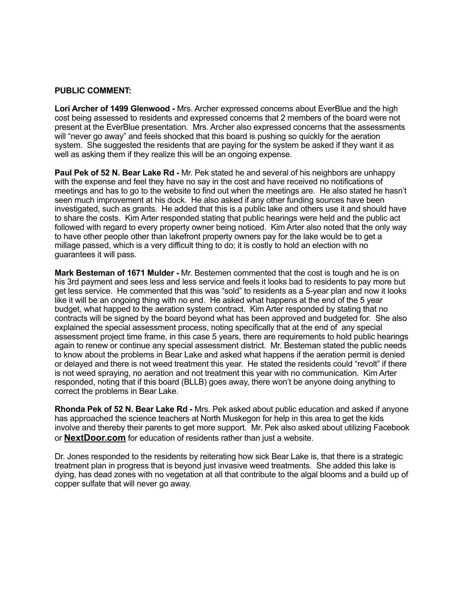#### **PUBLIC COMMENT:**

**Lori Archer of 1499 Glenwood -** Mrs. Archer expressed concerns about EverBlue and the high cost being assessed to residents and expressed concerns that 2 members of the board were not present at the EverBlue presentation. Mrs. Archer also expressed concerns that the assessments will "never go away" and feels shocked that this board is pushing so quickly for the aeration system. She suggested the residents that are paying for the system be asked if they want it as well as asking them if they realize this will be an ongoing expense.

**Paul Pek of 52 N. Bear Lake Rd -** Mr. Pek stated he and several of his neighbors are unhappy with the expense and feel they have no say in the cost and have received no notifications of meetings and has to go to the website to find out when the meetings are. He also stated he hasn't seen much improvement at his dock. He also asked if any other funding sources have been investigated, such as grants. He added that this is a public lake and others use it and should have to share the costs. Kim Arter responded stating that public hearings were held and the public act followed with regard to every property owner being noticed. Kim Arter also noted that the only way to have other people other than lakefront property owners pay for the lake would be to get a millage passed, which is a very difficult thing to do; it is costly to hold an election with no guarantees it will pass.

**Mark Besteman of 1671 Mulder -** Mr. Bestemen commented that the cost is tough and he is on his 3rd payment and sees less and less service and feels it looks bad to residents to pay more but get less service. He commented that this was "sold" to residents as a 5-year plan and now it looks like it will be an ongoing thing with no end. He asked what happens at the end of the 5 year budget, what happed to the aeration system contract. Kim Arter responded by stating that no contracts will be signed by the board beyond what has been approved and budgeted for. She also explained the special assessment process, noting specifically that at the end of any special assessment project time frame, in this case 5 years, there are requirements to hold public hearings again to renew or continue any special assessment district. Mr. Besteman stated the public needs to know about the problems in Bear Lake and asked what happens if the aeration permit is denied or delayed and there is not weed treatment this year. He stated the residents could "revolt" if there is not weed spraying, no aeration and not treatment this year with no communication. Kim Arter responded, noting that if this board (BLLB) goes away, there won't be anyone doing anything to correct the problems in Bear Lake.

**Rhonda Pek of 52 N. Bear Lake Rd -** Mrs. Pek asked about public education and asked if anyone has approached the science teachers at North Muskegon for help in this area to get the kids involve and thereby their parents to get more support. Mr. Pek also asked about utilizing Facebook or **[NextDoor.com](http://NextDoor.com)** for education of residents rather than just a website.

Dr. Jones responded to the residents by reiterating how sick Bear Lake is, that there is a strategic treatment plan in progress that is beyond just invasive weed treatments. She added this lake is dying, has dead zones with no vegetation at all that contribute to the algal blooms and a build up of copper sulfate that will never go away.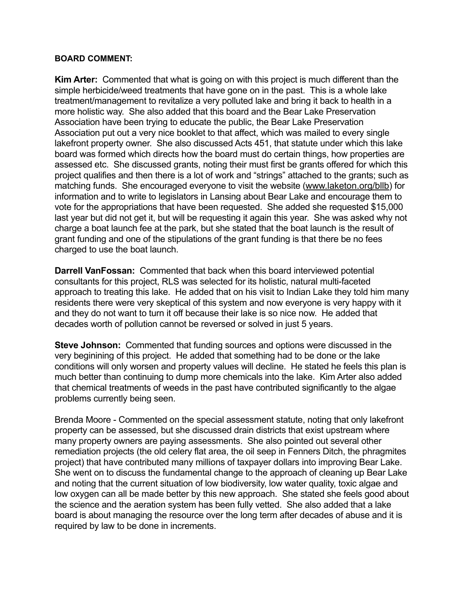# **BOARD COMMENT:**

**Kim Arter:** Commented that what is going on with this project is much different than the simple herbicide/weed treatments that have gone on in the past. This is a whole lake treatment/management to revitalize a very polluted lake and bring it back to health in a more holistic way. She also added that this board and the Bear Lake Preservation Association have been trying to educate the public, the Bear Lake Preservation Association put out a very nice booklet to that affect, which was mailed to every single lakefront property owner. She also discussed Acts 451, that statute under which this lake board was formed which directs how the board must do certain things, how properties are assessed etc. She discussed grants, noting their must first be grants offered for which this project qualifies and then there is a lot of work and "strings" attached to the grants; such as matching funds. She encouraged everyone to visit the website ([www.laketon.org/bllb\)](http://www.laketon.org/bllb) for information and to write to legislators in Lansing about Bear Lake and encourage them to vote for the appropriations that have been requested. She added she requested \$15,000 last year but did not get it, but will be requesting it again this year. She was asked why not charge a boat launch fee at the park, but she stated that the boat launch is the result of grant funding and one of the stipulations of the grant funding is that there be no fees charged to use the boat launch.

**Darrell VanFossan:** Commented that back when this board interviewed potential consultants for this project, RLS was selected for its holistic, natural multi-faceted approach to treating this lake. He added that on his visit to Indian Lake they told him many residents there were very skeptical of this system and now everyone is very happy with it and they do not want to turn it off because their lake is so nice now. He added that decades worth of pollution cannot be reversed or solved in just 5 years.

**Steve Johnson:** Commented that funding sources and options were discussed in the very beginining of this project. He added that something had to be done or the lake conditions will only worsen and property values will decline. He stated he feels this plan is much better than continuing to dump more chemicals into the lake. Kim Arter also added that chemical treatments of weeds in the past have contributed significantly to the algae problems currently being seen.

Brenda Moore - Commented on the special assessment statute, noting that only lakefront property can be assessed, but she discussed drain districts that exist upstream where many property owners are paying assessments. She also pointed out several other remediation projects (the old celery flat area, the oil seep in Fenners Ditch, the phragmites project) that have contributed many millions of taxpayer dollars into improving Bear Lake. She went on to discuss the fundamental change to the approach of cleaning up Bear Lake and noting that the current situation of low biodiversity, low water quality, toxic algae and low oxygen can all be made better by this new approach. She stated she feels good about the science and the aeration system has been fully vetted. She also added that a lake board is about managing the resource over the long term after decades of abuse and it is required by law to be done in increments.